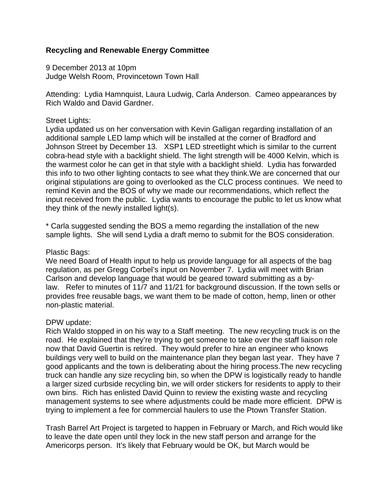# **Recycling and Renewable Energy Committee**

9 December 2013 at 10pm Judge Welsh Room, Provincetown Town Hall

Attending: Lydia Hamnquist, Laura Ludwig, Carla Anderson. Cameo appearances by Rich Waldo and David Gardner.

### Street Lights:

Lydia updated us on her conversation with Kevin Galligan regarding installation of an additional sample LED lamp which will be installed at the corner of Bradford and Johnson Street by December 13. XSP1 LED streetlight which is similar to the current cobra-head style with a backlight shield. The light strength will be 4000 Kelvin, which is the warmest color he can get in that style with a backlight shield. Lydia has forwarded this info to two other lighting contacts to see what they think.We are concerned that our original stipulations are going to overlooked as the CLC process continues. We need to remind Kevin and the BOS of why we made our recommendations, which reflect the input received from the public. Lydia wants to encourage the public to let us know what they think of the newly installed light(s).

\* Carla suggested sending the BOS a memo regarding the installation of the new sample lights. She will send Lydia a draft memo to submit for the BOS consideration.

#### Plastic Bags:

We need Board of Health input to help us provide language for all aspects of the bag regulation, as per Gregg Corbel's input on November 7. Lydia will meet with Brian Carlson and develop language that would be geared toward submitting as a bylaw. Refer to minutes of 11/7 and 11/21 for background discussion. If the town sells or provides free reusable bags, we want them to be made of cotton, hemp, linen or other non-plastic material.

#### DPW update:

Rich Waldo stopped in on his way to a Staff meeting. The new recycling truck is on the road. He explained that they're trying to get someone to take over the staff liaison role now that David Guertin is retired. They would prefer to hire an engineer who knows buildings very well to build on the maintenance plan they began last year. They have 7 good applicants and the town is deliberating about the hiring process.The new recycling truck can handle any size recycling bin, so when the DPW is logistically ready to handle a larger sized curbside recycling bin, we will order stickers for residents to apply to their own bins. Rich has enlisted David Quinn to review the existing waste and recycling management systems to see where adjustments could be made more efficient. DPW is trying to implement a fee for commercial haulers to use the Ptown Transfer Station.

Trash Barrel Art Project is targeted to happen in February or March, and Rich would like to leave the date open until they lock in the new staff person and arrange for the Americorps person. It's likely that February would be OK, but March would be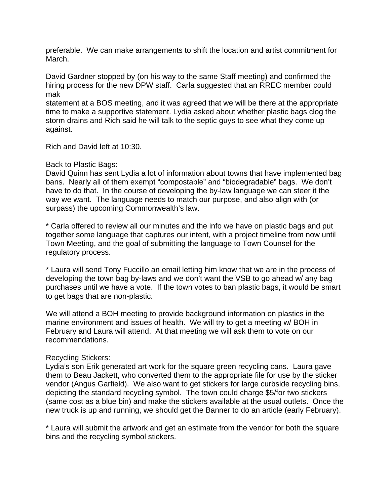preferable. We can make arrangements to shift the location and artist commitment for March.

David Gardner stopped by (on his way to the same Staff meeting) and confirmed the hiring process for the new DPW staff. Carla suggested that an RREC member could mak

statement at a BOS meeting, and it was agreed that we will be there at the appropriate time to make a supportive statement. Lydia asked about whether plastic bags clog the storm drains and Rich said he will talk to the septic guys to see what they come up against.

Rich and David left at 10:30.

# Back to Plastic Bags:

David Quinn has sent Lydia a lot of information about towns that have implemented bag bans. Nearly all of them exempt "compostable" and "biodegradable" bags. We don't have to do that. In the course of developing the by-law language we can steer it the way we want. The language needs to match our purpose, and also align with (or surpass) the upcoming Commonwealth's law.

\* Carla offered to review all our minutes and the info we have on plastic bags and put together some language that captures our intent, with a project timeline from now until Town Meeting, and the goal of submitting the language to Town Counsel for the regulatory process.

\* Laura will send Tony Fuccillo an email letting him know that we are in the process of developing the town bag by-laws and we don't want the VSB to go ahead w/ any bag purchases until we have a vote. If the town votes to ban plastic bags, it would be smart to get bags that are non-plastic.

We will attend a BOH meeting to provide background information on plastics in the marine environment and issues of health. We will try to get a meeting w/ BOH in February and Laura will attend. At that meeting we will ask them to vote on our recommendations.

# Recycling Stickers:

Lydia's son Erik generated art work for the square green recycling cans. Laura gave them to Beau Jackett, who converted them to the appropriate file for use by the sticker vendor (Angus Garfield). We also want to get stickers for large curbside recycling bins, depicting the standard recycling symbol. The town could charge \$5/for two stickers (same cost as a blue bin) and make the stickers available at the usual outlets. Once the new truck is up and running, we should get the Banner to do an article (early February).

\* Laura will submit the artwork and get an estimate from the vendor for both the square bins and the recycling symbol stickers.